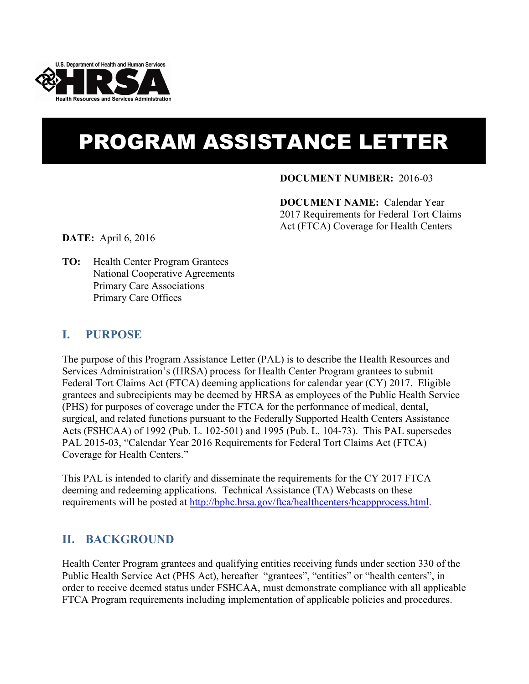

# PROGRAM ASSISTANCE LETTER

#### **DOCUMENT NUMBER:** 2016-03

**DOCUMENT NAME:** Calendar Year 2017 Requirements for Federal Tort Claims Act (FTCA) Coverage for Health Centers

**DATE:** April 6, 2016

**TO:** Health Center Program Grantees National Cooperative Agreements Primary Care Associations Primary Care Offices

## **I. PURPOSE**

The purpose of this Program Assistance Letter (PAL) is to describe the Health Resources and Services Administration's (HRSA) process for Health Center Program grantees to submit Federal Tort Claims Act (FTCA) deeming applications for calendar year (CY) 2017. Eligible grantees and subrecipients may be deemed by HRSA as employees of the Public Health Service (PHS) for purposes of coverage under the FTCA for the performance of medical, dental, surgical, and related functions pursuant to the Federally Supported Health Centers Assistance Acts (FSHCAA) of 1992 (Pub. L. 102-501) and 1995 (Pub. L. 104-73). This PAL supersedes PAL 2015-03, "Calendar Year 2016 Requirements for Federal Tort Claims Act (FTCA) Coverage for Health Centers."

This PAL is intended to clarify and disseminate the requirements for the CY 2017 FTCA deeming and redeeming applications. Technical Assistance (TA) Webcasts on these requirements will be posted at [http://bphc.hrsa.gov/ftca/healthcenters/hcappprocess.html.](http://bphc.hrsa.gov/ftca/healthcenters/hcappprocess.html)

## **II. BACKGROUND**

Health Center Program grantees and qualifying entities receiving funds under section 330 of the Public Health Service Act (PHS Act), hereafter "grantees", "entities" or "health centers", in order to receive deemed status under FSHCAA, must demonstrate compliance with all applicable FTCA Program requirements including implementation of applicable policies and procedures.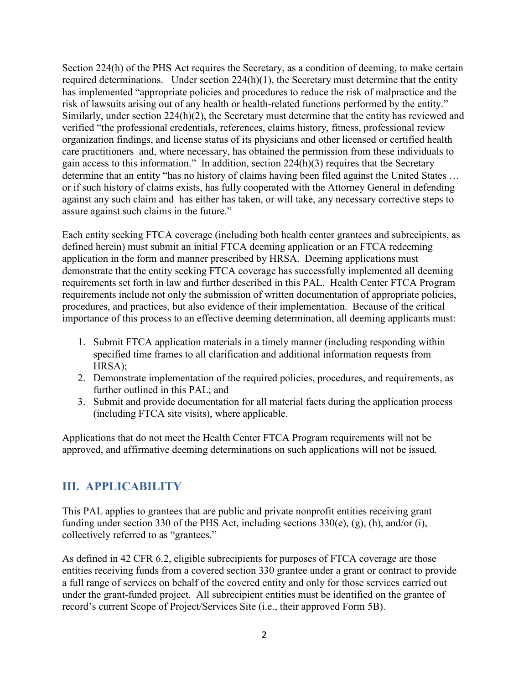Section 224(h) of the PHS Act requires the Secretary, as a condition of deeming, to make certain required determinations. Under section 224(h)(1), the Secretary must determine that the entity has implemented "appropriate policies and procedures to reduce the risk of malpractice and the risk of lawsuits arising out of any health or health-related functions performed by the entity." Similarly, under section 224(h)(2), the Secretary must determine that the entity has reviewed and verified "the professional credentials, references, claims history, fitness, professional review organization findings, and license status of its physicians and other licensed or certified health care practitioners and, where necessary, has obtained the permission from these individuals to gain access to this information." In addition, section  $224(h)(3)$  requires that the Secretary determine that an entity "has no history of claims having been filed against the United States … or if such history of claims exists, has fully cooperated with the Attorney General in defending against any such claim and has either has taken, or will take, any necessary corrective steps to assure against such claims in the future."

Each entity seeking FTCA coverage (including both health center grantees and subrecipients, as defined herein) must submit an initial FTCA deeming application or an FTCA redeeming application in the form and manner prescribed by HRSA. Deeming applications must demonstrate that the entity seeking FTCA coverage has successfully implemented all deeming requirements set forth in law and further described in this PAL. Health Center FTCA Program requirements include not only the submission of written documentation of appropriate policies, procedures, and practices, but also evidence of their implementation. Because of the critical importance of this process to an effective deeming determination, all deeming applicants must:

- 1. Submit FTCA application materials in a timely manner (including responding within specified time frames to all clarification and additional information requests from HRSA);
- 2. Demonstrate implementation of the required policies, procedures, and requirements, as further outlined in this PAL; and
- 3. Submit and provide documentation for all material facts during the application process (including FTCA site visits), where applicable.

Applications that do not meet the Health Center FTCA Program requirements will not be approved, and affirmative deeming determinations on such applications will not be issued.

## **III. APPLICABILITY**

This PAL applies to grantees that are public and private nonprofit entities receiving grant funding under section 330 of the PHS Act, including sections 330(e), (g), (h), and/or (i), collectively referred to as "grantees."

As defined in 42 CFR 6.2, eligible subrecipients for purposes of FTCA coverage are those entities receiving funds from a covered section 330 grantee under a grant or contract to provide a full range of services on behalf of the covered entity and only for those services carried out under the grant-funded project. All subrecipient entities must be identified on the grantee of record's current Scope of Project/Services Site (i.e., their approved Form 5B).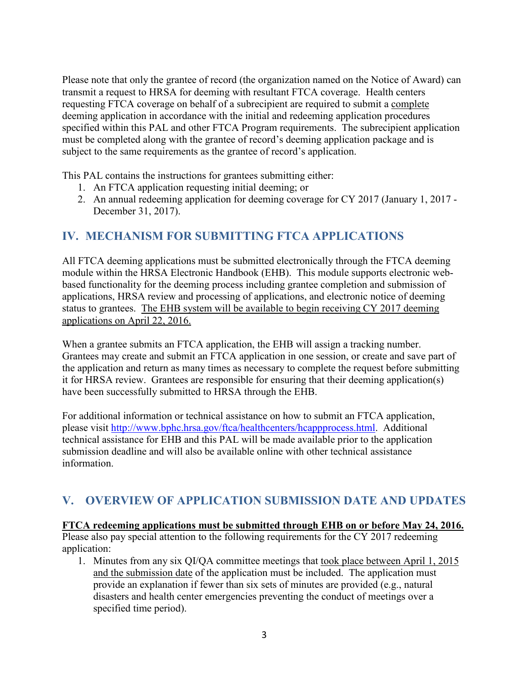Please note that only the grantee of record (the organization named on the Notice of Award) can transmit a request to HRSA for deeming with resultant FTCA coverage. Health centers requesting FTCA coverage on behalf of a subrecipient are required to submit a complete deeming application in accordance with the initial and redeeming application procedures specified within this PAL and other FTCA Program requirements. The subrecipient application must be completed along with the grantee of record's deeming application package and is subject to the same requirements as the grantee of record's application.

This PAL contains the instructions for grantees submitting either:

- 1. An FTCA application requesting initial deeming; or
- 2. An annual redeeming application for deeming coverage for CY 2017 (January 1, 2017 December 31, 2017).

# **IV. MECHANISM FOR SUBMITTING FTCA APPLICATIONS**

All FTCA deeming applications must be submitted electronically through the FTCA deeming module within the HRSA Electronic Handbook (EHB). This module supports electronic webbased functionality for the deeming process including grantee completion and submission of applications, HRSA review and processing of applications, and electronic notice of deeming status to grantees. The EHB system will be available to begin receiving CY 2017 deeming applications on April 22, 2016.

When a grantee submits an FTCA application, the EHB will assign a tracking number. Grantees may create and submit an FTCA application in one session, or create and save part of the application and return as many times as necessary to complete the request before submitting it for HRSA review. Grantees are responsible for ensuring that their deeming application(s) have been successfully submitted to HRSA through the EHB.

For additional information or technical assistance on how to submit an FTCA application, please visit [http://www.bphc.hrsa.gov/ftca/healthcenters/hcappprocess.html.](http://www.bphc.hrsa.gov/ftca/healthcenters/hcappprocess.html) Additional technical assistance for EHB and this PAL will be made available prior to the application submission deadline and will also be available online with other technical assistance information.

## **V. OVERVIEW OF APPLICATION SUBMISSION DATE AND UPDATES**

#### **FTCA redeeming applications must be submitted through EHB on or before May 24, 2016.**

Please also pay special attention to the following requirements for the CY 2017 redeeming application:

1. Minutes from any six QI/QA committee meetings that took place between April 1, 2015 and the submission date of the application must be included. The application must provide an explanation if fewer than six sets of minutes are provided (e.g., natural disasters and health center emergencies preventing the conduct of meetings over a specified time period).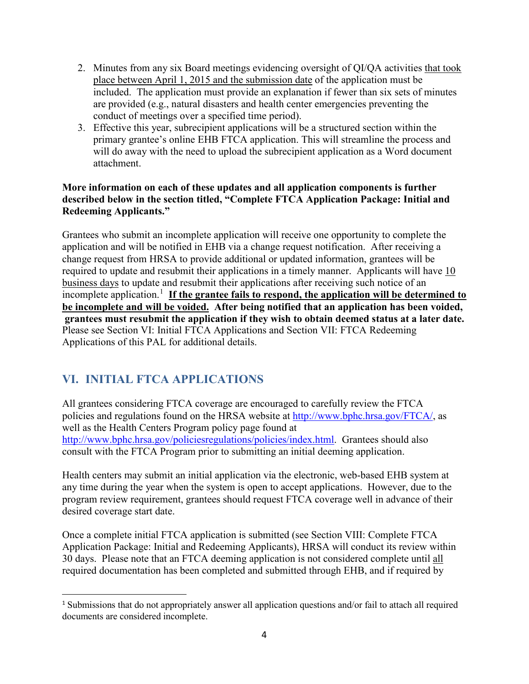- 2. Minutes from any six Board meetings evidencing oversight of QI/QA activities that took place between April 1, 2015 and the submission date of the application must be included. The application must provide an explanation if fewer than six sets of minutes are provided (e.g., natural disasters and health center emergencies preventing the conduct of meetings over a specified time period).
- 3. Effective this year, subrecipient applications will be a structured section within the primary grantee's online EHB FTCA application. This will streamline the process and will do away with the need to upload the subrecipient application as a Word document attachment.

### **More information on each of these updates and all application components is further described below in the section titled, "Complete FTCA Application Package: Initial and Redeeming Applicants."**

Grantees who submit an incomplete application will receive one opportunity to complete the application and will be notified in EHB via a change request notification. After receiving a change request from HRSA to provide additional or updated information, grantees will be required to update and resubmit their applications in a timely manner. Applicants will have 10 business days to update and resubmit their applications after receiving such notice of an incomplete application.<sup>1</sup> If the grantee fails to respond, the application will be determined to **be incomplete and will be voided. After being notified that an application has been voided, grantees must resubmit the application if they wish to obtain deemed status at a later date.**  Please see Section VI: Initial FTCA Applications and Section VII: FTCA Redeeming Applications of this PAL for additional details.

# **VI. INITIAL FTCA APPLICATIONS**

 $\overline{a}$ 

All grantees considering FTCA coverage are encouraged to carefully review the FTCA policies and regulations found on the HRSA website at [http://www.bphc.hrsa.gov/FTCA/,](http://www.bphc.hrsa.gov/FTCA/) as well as the Health Centers Program policy page found at [http://www.bphc.hrsa.gov/policiesregulations/policies/index.html.](http://www.bphc.hrsa.gov/policiesregulations/policies/index.html) Grantees should also consult with the FTCA Program prior to submitting an initial deeming application.

Health centers may submit an initial application via the electronic, web-based EHB system at any time during the year when the system is open to accept applications. However, due to the program review requirement, grantees should request FTCA coverage well in advance of their desired coverage start date.

Once a complete initial FTCA application is submitted (see Section VIII: Complete FTCA Application Package: Initial and Redeeming Applicants), HRSA will conduct its review within 30 days. Please note that an FTCA deeming application is not considered complete until all required documentation has been completed and submitted through EHB, and if required by

<sup>1</sup> Submissions that do not appropriately answer all application questions and/or fail to attach all required documents are considered incomplete.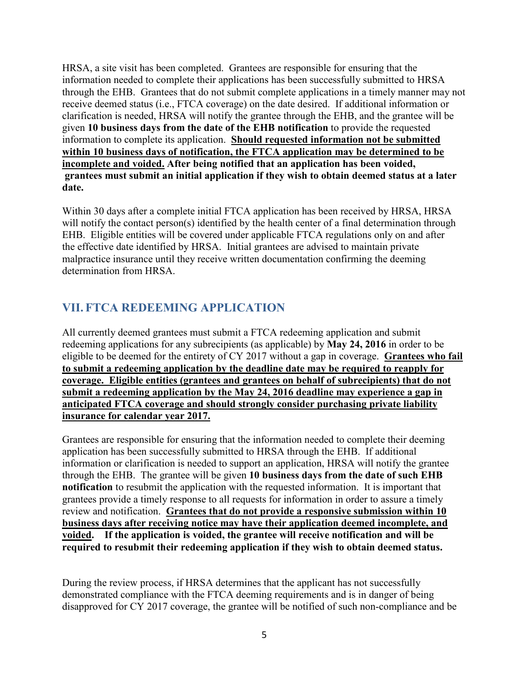HRSA, a site visit has been completed. Grantees are responsible for ensuring that the information needed to complete their applications has been successfully submitted to HRSA through the EHB. Grantees that do not submit complete applications in a timely manner may not receive deemed status (i.e., FTCA coverage) on the date desired. If additional information or clarification is needed, HRSA will notify the grantee through the EHB, and the grantee will be given **10 business days from the date of the EHB notification** to provide the requested information to complete its application. **Should requested information not be submitted within 10 business days of notification, the FTCA application may be determined to be incomplete and voided. After being notified that an application has been voided, grantees must submit an initial application if they wish to obtain deemed status at a later date.** 

Within 30 days after a complete initial FTCA application has been received by HRSA, HRSA will notify the contact person(s) identified by the health center of a final determination through EHB. Eligible entities will be covered under applicable FTCA regulations only on and after the effective date identified by HRSA. Initial grantees are advised to maintain private malpractice insurance until they receive written documentation confirming the deeming determination from HRSA.

# **VII. FTCA REDEEMING APPLICATION**

All currently deemed grantees must submit a FTCA redeeming application and submit redeeming applications for any subrecipients (as applicable) by **May 24, 2016** in order to be eligible to be deemed for the entirety of CY 2017 without a gap in coverage. **Grantees who fail to submit a redeeming application by the deadline date may be required to reapply for coverage. Eligible entities (grantees and grantees on behalf of subrecipients) that do not submit a redeeming application by the May 24, 2016 deadline may experience a gap in anticipated FTCA coverage and should strongly consider purchasing private liability insurance for calendar year 2017.** 

Grantees are responsible for ensuring that the information needed to complete their deeming application has been successfully submitted to HRSA through the EHB. If additional information or clarification is needed to support an application, HRSA will notify the grantee through the EHB. The grantee will be given **10 business days from the date of such EHB notification** to resubmit the application with the requested information. It is important that grantees provide a timely response to all requests for information in order to assure a timely review and notification. **Grantees that do not provide a responsive submission within 10 business days after receiving notice may have their application deemed incomplete, and voided. If the application is voided, the grantee will receive notification and will be required to resubmit their redeeming application if they wish to obtain deemed status.** 

During the review process, if HRSA determines that the applicant has not successfully demonstrated compliance with the FTCA deeming requirements and is in danger of being disapproved for CY 2017 coverage, the grantee will be notified of such non-compliance and be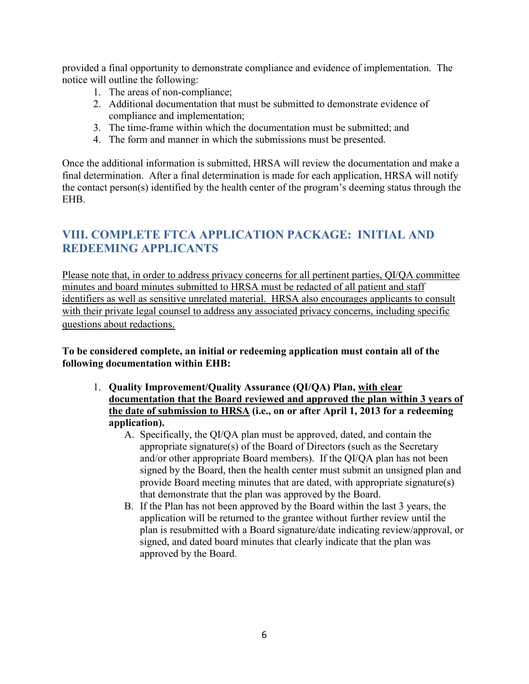provided a final opportunity to demonstrate compliance and evidence of implementation. The notice will outline the following:

- 1. The areas of non-compliance;
- 2. Additional documentation that must be submitted to demonstrate evidence of compliance and implementation;
- 3. The time-frame within which the documentation must be submitted; and
- 4. The form and manner in which the submissions must be presented.

Once the additional information is submitted, HRSA will review the documentation and make a final determination. After a final determination is made for each application, HRSA will notify the contact person(s) identified by the health center of the program's deeming status through the EHB.

# **VIII. COMPLETE FTCA APPLICATION PACKAGE: INITIAL AND REDEEMING APPLICANTS**

Please note that, in order to address privacy concerns for all pertinent parties, QI/QA committee minutes and board minutes submitted to HRSA must be redacted of all patient and staff identifiers as well as sensitive unrelated material. HRSA also encourages applicants to consult with their private legal counsel to address any associated privacy concerns, including specific questions about redactions.

**To be considered complete, an initial or redeeming application must contain all of the following documentation within EHB:** 

- 1. **Quality Improvement/Quality Assurance (QI/QA) Plan, with clear documentation that the Board reviewed and approved the plan within 3 years of the date of submission to HRSA (i.e., on or after April 1, 2013 for a redeeming application).**
	- A. Specifically, the QI/QA plan must be approved, dated, and contain the appropriate signature(s) of the Board of Directors (such as the Secretary and/or other appropriate Board members). If the QI/QA plan has not been signed by the Board, then the health center must submit an unsigned plan and provide Board meeting minutes that are dated, with appropriate signature(s) that demonstrate that the plan was approved by the Board.
	- B. If the Plan has not been approved by the Board within the last 3 years, the application will be returned to the grantee without further review until the plan is resubmitted with a Board signature/date indicating review/approval, or signed, and dated board minutes that clearly indicate that the plan was approved by the Board.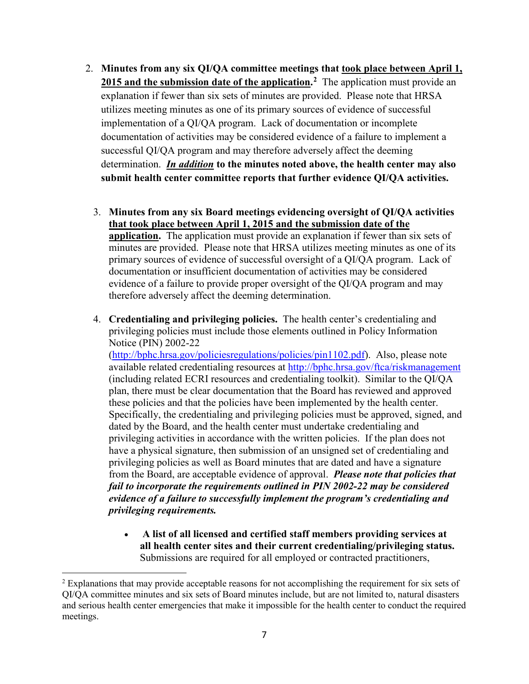- 2. **Minutes from any six QI/QA committee meetings that took place between April 1,**  2015 and the submission date of the application.<sup>2</sup> The application must provide an explanation if fewer than six sets of minutes are provided. Please note that HRSA utilizes meeting minutes as one of its primary sources of evidence of successful implementation of a QI/QA program. Lack of documentation or incomplete documentation of activities may be considered evidence of a failure to implement a successful QI/QA program and may therefore adversely affect the deeming determination.*In addition* **to the minutes noted above, the health center may also submit health center committee reports that further evidence QI/QA activities.**
	- 3. **Minutes from any six Board meetings evidencing oversight of QI/QA activities that took place between April 1, 2015 and the submission date of the application.** The application must provide an explanation if fewer than six sets of minutes are provided. Please note that HRSA utilizes meeting minutes as one of its primary sources of evidence of successful oversight of a QI/QA program. Lack of documentation or insufficient documentation of activities may be considered evidence of a failure to provide proper oversight of the QI/QA program and may therefore adversely affect the deeming determination.
	- 4. **Credentialing and privileging policies.** The health center's credentialing and privileging policies must include those elements outlined in Policy Information Notice (PIN) 2002-22

[\(http://bphc.hrsa.gov/policiesregulations/policies/pin1102.pdf\)](http://bphc.hrsa.gov/policiesregulations/policies/pin1102.pdf). Also, please note available related credentialing resources at<http://bphc.hrsa.gov/ftca/riskmanagement> (including related ECRI resources and credentialing toolkit). Similar to the QI/QA plan, there must be clear documentation that the Board has reviewed and approved these policies and that the policies have been implemented by the health center. Specifically, the credentialing and privileging policies must be approved, signed, and dated by the Board, and the health center must undertake credentialing and privileging activities in accordance with the written policies. If the plan does not have a physical signature, then submission of an unsigned set of credentialing and privileging policies as well as Board minutes that are dated and have a signature from the Board, are acceptable evidence of approval. *Please note that policies that fail to incorporate the requirements outlined in PIN 2002-22 may be considered evidence of a failure to successfully implement the program's credentialing and privileging requirements.* 

• **A list of all licensed and certified staff members providing services at all health center sites and their current credentialing/privileging status.** Submissions are required for all employed or contracted practitioners,

 $\overline{a}$ 

 $2$  Explanations that may provide acceptable reasons for not accomplishing the requirement for six sets of QI/QA committee minutes and six sets of Board minutes include, but are not limited to, natural disasters and serious health center emergencies that make it impossible for the health center to conduct the required meetings.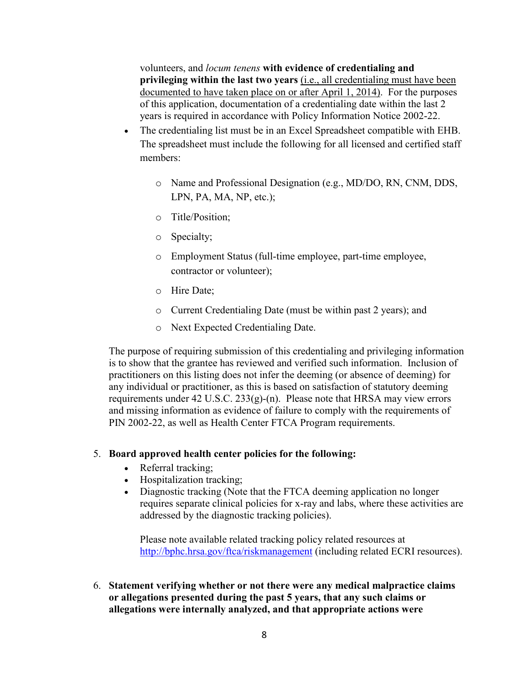volunteers, and *locum tenens* **with evidence of credentialing and privileging within the last two years** (i.e., all credentialing must have been documented to have taken place on or after April 1, 2014). For the purposes of this application, documentation of a credentialing date within the last 2 years is required in accordance with Policy Information Notice 2002-22.

- The credentialing list must be in an Excel Spreadsheet compatible with EHB. The spreadsheet must include the following for all licensed and certified staff members:
	- o Name and Professional Designation (e.g., MD/DO, RN, CNM, DDS, LPN, PA, MA, NP, etc.);
	- o Title/Position;
	- o Specialty;
	- o Employment Status (full-time employee, part-time employee, contractor or volunteer);
	- o Hire Date;
	- o Current Credentialing Date (must be within past 2 years); and
	- o Next Expected Credentialing Date.

The purpose of requiring submission of this credentialing and privileging information is to show that the grantee has reviewed and verified such information. Inclusion of practitioners on this listing does not infer the deeming (or absence of deeming) for any individual or practitioner, as this is based on satisfaction of statutory deeming requirements under  $42 \text{ U.S.C. } 233(g)$ -(n). Please note that HRSA may view errors and missing information as evidence of failure to comply with the requirements of PIN 2002-22, as well as Health Center FTCA Program requirements.

#### 5. **Board approved health center policies for the following:**

- Referral tracking;
- Hospitalization tracking;
- Diagnostic tracking (Note that the FTCA deeming application no longer requires separate clinical policies for x-ray and labs, where these activities are addressed by the diagnostic tracking policies).

Please note available related tracking policy related resources at <http://bphc.hrsa.gov/ftca/riskmanagement>(including related ECRI resources).

6. **Statement verifying whether or not there were any medical malpractice claims or allegations presented during the past 5 years, that any such claims or allegations were internally analyzed, and that appropriate actions were**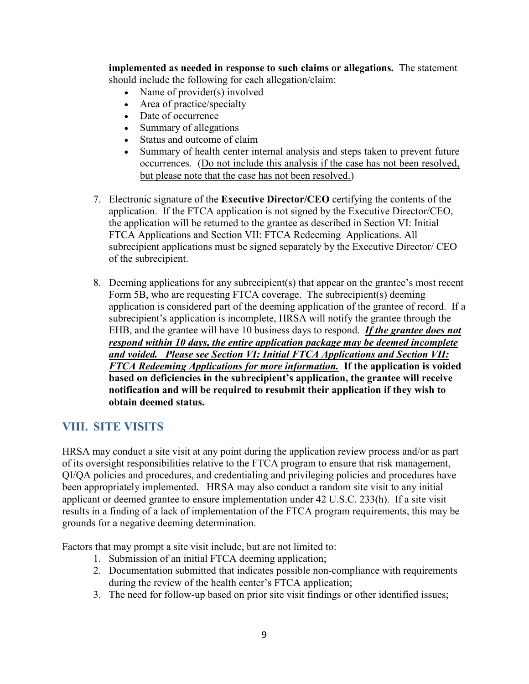**implemented as needed in response to such claims or allegations.** The statement should include the following for each allegation/claim:

- Name of provider(s) involved
- Area of practice/specialty
- Date of occurrence
- Summary of allegations
- Status and outcome of claim
- Summary of health center internal analysis and steps taken to prevent future occurrences. (Do not include this analysis if the case has not been resolved, but please note that the case has not been resolved.)
- 7. Electronic signature of the **Executive Director/CEO** certifying the contents of the application. If the FTCA application is not signed by the Executive Director/CEO, the application will be returned to the grantee as described in Section VI: Initial FTCA Applications and Section VII: FTCA Redeeming Applications. All subrecipient applications must be signed separately by the Executive Director/ CEO of the subrecipient.
- 8. Deeming applications for any subrecipient(s) that appear on the grantee's most recent Form 5B, who are requesting FTCA coverage. The subrecipient(s) deeming application is considered part of the deeming application of the grantee of record. If a subrecipient's application is incomplete, HRSA will notify the grantee through the EHB, and the grantee will have 10 business days to respond. *If the grantee does not respond within 10 days, the entire application package may be deemed incomplete and voided. Please see Section VI: Initial FTCA Applications and Section VII: FTCA Redeeming Applications for more information.* **If the application is voided based on deficiencies in the subrecipient's application, the grantee will receive notification and will be required to resubmit their application if they wish to obtain deemed status.**

## **VIII. SITE VISITS**

HRSA may conduct a site visit at any point during the application review process and/or as part of its oversight responsibilities relative to the FTCA program to ensure that risk management, QI/QA policies and procedures, and credentialing and privileging policies and procedures have been appropriately implemented. HRSA may also conduct a random site visit to any initial applicant or deemed grantee to ensure implementation under 42 U.S.C. 233(h). If a site visit results in a finding of a lack of implementation of the FTCA program requirements, this may be grounds for a negative deeming determination.

Factors that may prompt a site visit include, but are not limited to:

- 1. Submission of an initial FTCA deeming application;
- 2. Documentation submitted that indicates possible non-compliance with requirements during the review of the health center's FTCA application;
- 3. The need for follow-up based on prior site visit findings or other identified issues;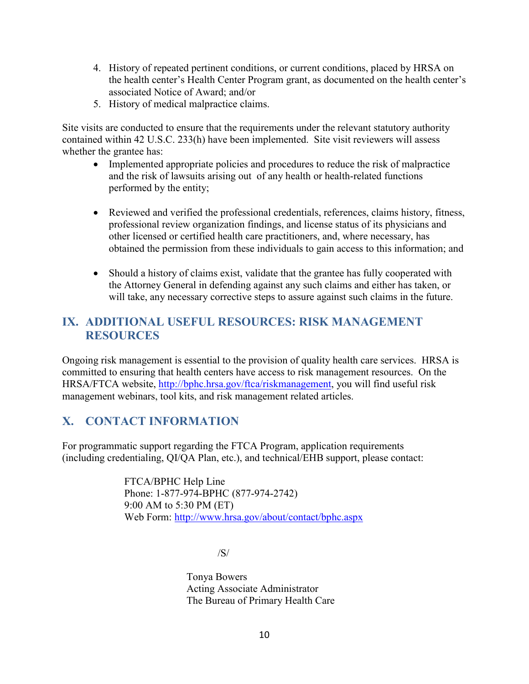- 4. History of repeated pertinent conditions, or current conditions, placed by HRSA on the health center's Health Center Program grant, as documented on the health center's associated Notice of Award; and/or
- 5. History of medical malpractice claims.

Site visits are conducted to ensure that the requirements under the relevant statutory authority contained within 42 U.S.C. 233(h) have been implemented.Site visit reviewers will assess whether the grantee has:

- Implemented appropriate policies and procedures to reduce the risk of malpractice and the risk of lawsuits arising out of any health or health-related functions performed by the entity;
- Reviewed and verified the professional credentials, references, claims history, fitness, professional review organization findings, and license status of its physicians and other licensed or certified health care practitioners, and, where necessary, has obtained the permission from these individuals to gain access to this information; and
- Should a history of claims exist, validate that the grantee has fully cooperated with the Attorney General in defending against any such claims and either has taken, or will take, any necessary corrective steps to assure against such claims in the future.

## **IX. ADDITIONAL USEFUL RESOURCES: RISK MANAGEMENT RESOURCES**

Ongoing risk management is essential to the provision of quality health care services. HRSA is committed to ensuring that health centers have access to risk management resources. On the HRSA/FTCA website, [http://bphc.hrsa.gov/ftca/riskmanagement,](http://bphc.hrsa.gov/ftca/riskmanagement) you will find useful risk management webinars, tool kits, and risk management related articles.

# **X. CONTACT INFORMATION**

For programmatic support regarding the FTCA Program, application requirements (including credentialing, QI/QA Plan, etc.), and technical/EHB support, please contact:

> FTCA/BPHC Help Line Phone: 1-877-974-BPHC (877-974-2742) 9:00 AM to 5:30 PM (ET) Web Form:<http://www.hrsa.gov/about/contact/bphc.aspx>

/S/

 Tonya Bowers Acting Associate Administrator The Bureau of Primary Health Care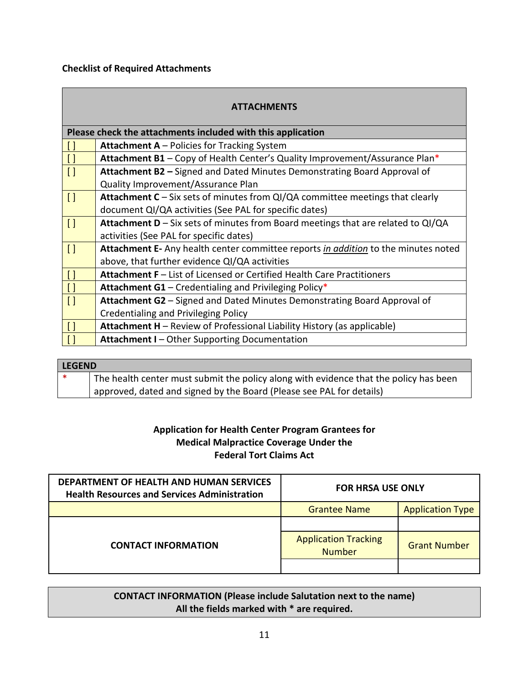#### **Checklist of Required Attachments**

|          | <b>ATTACHMENTS</b>                                                                        |
|----------|-------------------------------------------------------------------------------------------|
|          | Please check the attachments included with this application                               |
| $\Box$   | <b>Attachment A</b> – Policies for Tracking System                                        |
| $\lceil$ | Attachment B1 - Copy of Health Center's Quality Improvement/Assurance Plan*               |
| $\Box$   | Attachment B2 - Signed and Dated Minutes Demonstrating Board Approval of                  |
|          | Quality Improvement/Assurance Plan                                                        |
| $\lceil$ | Attachment C - Six sets of minutes from QI/QA committee meetings that clearly             |
|          | document QI/QA activities (See PAL for specific dates)                                    |
| $\Box$   | <b>Attachment D</b> – Six sets of minutes from Board meetings that are related to $QI/QA$ |
|          | activities (See PAL for specific dates)                                                   |
| $\Box$   | Attachment E- Any health center committee reports in addition to the minutes noted        |
|          | above, that further evidence QI/QA activities                                             |
| $\lceil$ | Attachment F - List of Licensed or Certified Health Care Practitioners                    |
| $\lceil$ | <b>Attachment G1</b> – Credentialing and Privileging Policy*                              |
| $\Box$   | Attachment G2 - Signed and Dated Minutes Demonstrating Board Approval of                  |
|          | Credentialing and Privileging Policy                                                      |
| $\prod$  | <b>Attachment H</b> – Review of Professional Liability History (as applicable)            |
|          | <b>Attachment I-Other Supporting Documentation</b>                                        |

| <b>LEGEND</b> |                                                                                       |  |
|---------------|---------------------------------------------------------------------------------------|--|
|               | The health center must submit the policy along with evidence that the policy has been |  |
|               | approved, dated and signed by the Board (Please see PAL for details)                  |  |

## **Application for Health Center Program Grantees for Medical Malpractice Coverage Under the Federal Tort Claims Act**

| DEPARTMENT OF HEALTH AND HUMAN SERVICES<br><b>Health Resources and Services Administration</b> | <b>FOR HRSA USE ONLY</b>                     |                         |
|------------------------------------------------------------------------------------------------|----------------------------------------------|-------------------------|
|                                                                                                | <b>Grantee Name</b>                          | <b>Application Type</b> |
|                                                                                                |                                              |                         |
| <b>CONTACT INFORMATION</b>                                                                     | <b>Application Tracking</b><br><b>Number</b> | <b>Grant Number</b>     |
|                                                                                                |                                              |                         |

## **CONTACT INFORMATION (Please include Salutation next to the name) All the fields marked with \* are required.**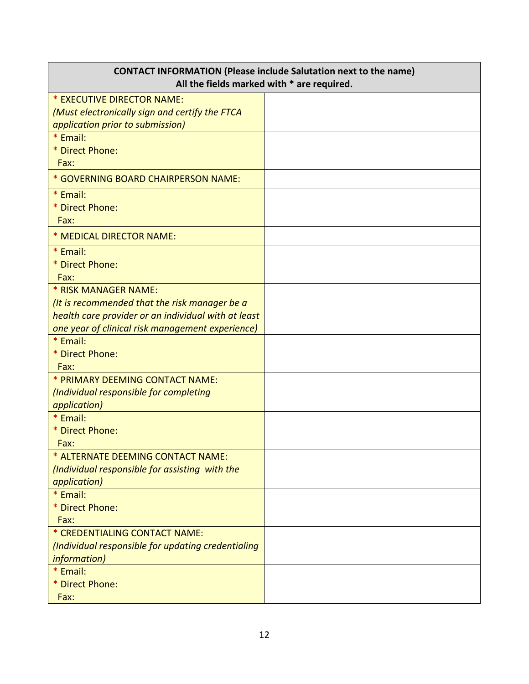| <b>CONTACT INFORMATION (Please include Salutation next to the name)</b><br>All the fields marked with * are required.                                                                                                                                                                                                                                                                                                                                                                                                                                                                                                                                                               |  |
|-------------------------------------------------------------------------------------------------------------------------------------------------------------------------------------------------------------------------------------------------------------------------------------------------------------------------------------------------------------------------------------------------------------------------------------------------------------------------------------------------------------------------------------------------------------------------------------------------------------------------------------------------------------------------------------|--|
| * EXECUTIVE DIRECTOR NAME:                                                                                                                                                                                                                                                                                                                                                                                                                                                                                                                                                                                                                                                          |  |
| (Must electronically sign and certify the FTCA                                                                                                                                                                                                                                                                                                                                                                                                                                                                                                                                                                                                                                      |  |
| application prior to submission)                                                                                                                                                                                                                                                                                                                                                                                                                                                                                                                                                                                                                                                    |  |
| * Email:                                                                                                                                                                                                                                                                                                                                                                                                                                                                                                                                                                                                                                                                            |  |
| * Direct Phone:                                                                                                                                                                                                                                                                                                                                                                                                                                                                                                                                                                                                                                                                     |  |
| Fax:                                                                                                                                                                                                                                                                                                                                                                                                                                                                                                                                                                                                                                                                                |  |
| * GOVERNING BOARD CHAIRPERSON NAME:                                                                                                                                                                                                                                                                                                                                                                                                                                                                                                                                                                                                                                                 |  |
| * Email:                                                                                                                                                                                                                                                                                                                                                                                                                                                                                                                                                                                                                                                                            |  |
| * Direct Phone:                                                                                                                                                                                                                                                                                                                                                                                                                                                                                                                                                                                                                                                                     |  |
| Fax:                                                                                                                                                                                                                                                                                                                                                                                                                                                                                                                                                                                                                                                                                |  |
| * MEDICAL DIRECTOR NAME:                                                                                                                                                                                                                                                                                                                                                                                                                                                                                                                                                                                                                                                            |  |
|                                                                                                                                                                                                                                                                                                                                                                                                                                                                                                                                                                                                                                                                                     |  |
| * Direct Phone:                                                                                                                                                                                                                                                                                                                                                                                                                                                                                                                                                                                                                                                                     |  |
| Fax:                                                                                                                                                                                                                                                                                                                                                                                                                                                                                                                                                                                                                                                                                |  |
|                                                                                                                                                                                                                                                                                                                                                                                                                                                                                                                                                                                                                                                                                     |  |
|                                                                                                                                                                                                                                                                                                                                                                                                                                                                                                                                                                                                                                                                                     |  |
|                                                                                                                                                                                                                                                                                                                                                                                                                                                                                                                                                                                                                                                                                     |  |
|                                                                                                                                                                                                                                                                                                                                                                                                                                                                                                                                                                                                                                                                                     |  |
|                                                                                                                                                                                                                                                                                                                                                                                                                                                                                                                                                                                                                                                                                     |  |
|                                                                                                                                                                                                                                                                                                                                                                                                                                                                                                                                                                                                                                                                                     |  |
|                                                                                                                                                                                                                                                                                                                                                                                                                                                                                                                                                                                                                                                                                     |  |
|                                                                                                                                                                                                                                                                                                                                                                                                                                                                                                                                                                                                                                                                                     |  |
|                                                                                                                                                                                                                                                                                                                                                                                                                                                                                                                                                                                                                                                                                     |  |
|                                                                                                                                                                                                                                                                                                                                                                                                                                                                                                                                                                                                                                                                                     |  |
|                                                                                                                                                                                                                                                                                                                                                                                                                                                                                                                                                                                                                                                                                     |  |
|                                                                                                                                                                                                                                                                                                                                                                                                                                                                                                                                                                                                                                                                                     |  |
|                                                                                                                                                                                                                                                                                                                                                                                                                                                                                                                                                                                                                                                                                     |  |
|                                                                                                                                                                                                                                                                                                                                                                                                                                                                                                                                                                                                                                                                                     |  |
|                                                                                                                                                                                                                                                                                                                                                                                                                                                                                                                                                                                                                                                                                     |  |
|                                                                                                                                                                                                                                                                                                                                                                                                                                                                                                                                                                                                                                                                                     |  |
|                                                                                                                                                                                                                                                                                                                                                                                                                                                                                                                                                                                                                                                                                     |  |
|                                                                                                                                                                                                                                                                                                                                                                                                                                                                                                                                                                                                                                                                                     |  |
|                                                                                                                                                                                                                                                                                                                                                                                                                                                                                                                                                                                                                                                                                     |  |
|                                                                                                                                                                                                                                                                                                                                                                                                                                                                                                                                                                                                                                                                                     |  |
|                                                                                                                                                                                                                                                                                                                                                                                                                                                                                                                                                                                                                                                                                     |  |
|                                                                                                                                                                                                                                                                                                                                                                                                                                                                                                                                                                                                                                                                                     |  |
|                                                                                                                                                                                                                                                                                                                                                                                                                                                                                                                                                                                                                                                                                     |  |
| Fax:                                                                                                                                                                                                                                                                                                                                                                                                                                                                                                                                                                                                                                                                                |  |
| * Email:<br>* RISK MANAGER NAME:<br>(It is recommended that the risk manager be a<br>health care provider or an individual with at least<br>one year of clinical risk management experience)<br>* Email:<br>* Direct Phone:<br>Fax:<br>* PRIMARY DEEMING CONTACT NAME:<br>(Individual responsible for completing<br><i>application</i> )<br>* Email:<br>* Direct Phone:<br>Fax:<br>* ALTERNATE DEEMING CONTACT NAME:<br>(Individual responsible for assisting with the<br><i>application</i> )<br>* Email:<br>* Direct Phone:<br>Fax:<br>* CREDENTIALING CONTACT NAME:<br>(Individual responsible for updating credentialing<br><i>information</i> )<br>* Email:<br>* Direct Phone: |  |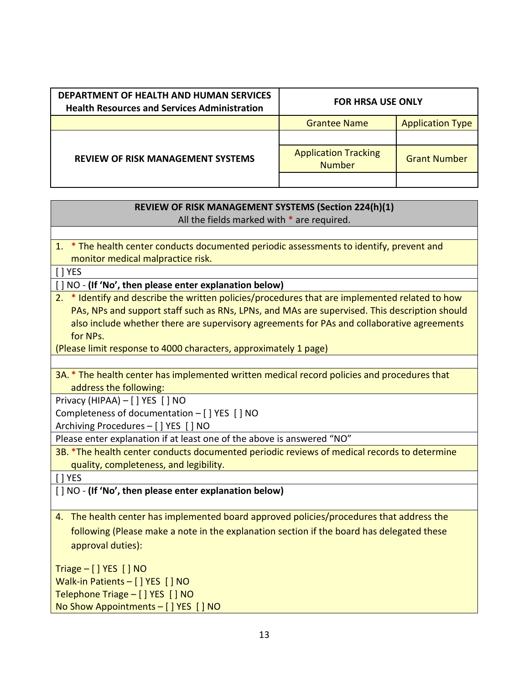| DEPARTMENT OF HEALTH AND HUMAN SERVICES<br><b>Health Resources and Services Administration</b> | <b>FOR HRSA USE ONLY</b>                     |                         |
|------------------------------------------------------------------------------------------------|----------------------------------------------|-------------------------|
|                                                                                                | <b>Grantee Name</b>                          | <b>Application Type</b> |
|                                                                                                |                                              |                         |
| <b>REVIEW OF RISK MANAGEMENT SYSTEMS</b>                                                       | <b>Application Tracking</b><br><b>Number</b> | <b>Grant Number</b>     |
|                                                                                                |                                              |                         |

| REVIEW OF RISK MANAGEMENT SYSTEMS (Section 224(h)(1)                                           |
|------------------------------------------------------------------------------------------------|
| All the fields marked with * are required.                                                     |
|                                                                                                |
| 1. * The health center conducts documented periodic assessments to identify, prevent and       |
| monitor medical malpractice risk.                                                              |
| [ ] YES                                                                                        |
| [] NO - (If 'No', then please enter explanation below)                                         |
| 2. * Identify and describe the written policies/procedures that are implemented related to how |
| PAs, NPs and support staff such as RNs, LPNs, and MAs are supervised. This description should  |
| also include whether there are supervisory agreements for PAs and collaborative agreements     |
| for NPs.                                                                                       |
| (Please limit response to 4000 characters, approximately 1 page)                               |
|                                                                                                |
| 3A. * The health center has implemented written medical record policies and procedures that    |
| address the following:                                                                         |
| Privacy (HIPAA) - [ ] YES [ ] NO                                                               |
| Completeness of documentation - [ ] YES [ ] NO                                                 |
| Archiving Procedures - [ ] YES [ ] NO                                                          |
| Please enter explanation if at least one of the above is answered "NO"                         |
| 3B. *The health center conducts documented periodic reviews of medical records to determine    |
| quality, completeness, and legibility.                                                         |
| [ ] YES                                                                                        |
| [] NO - (If 'No', then please enter explanation below)                                         |
|                                                                                                |
| 4. The health center has implemented board approved policies/procedures that address the       |
| following (Please make a note in the explanation section if the board has delegated these      |
| approval duties):                                                                              |
|                                                                                                |
| Triage $-$ [ ] YES [ ] NO                                                                      |
| Walk-in Patients - [ ] YES [ ] NO                                                              |

Telephone Triage – [ ] YES [ ] NO No Show Appointments – [ ] YES [ ] NO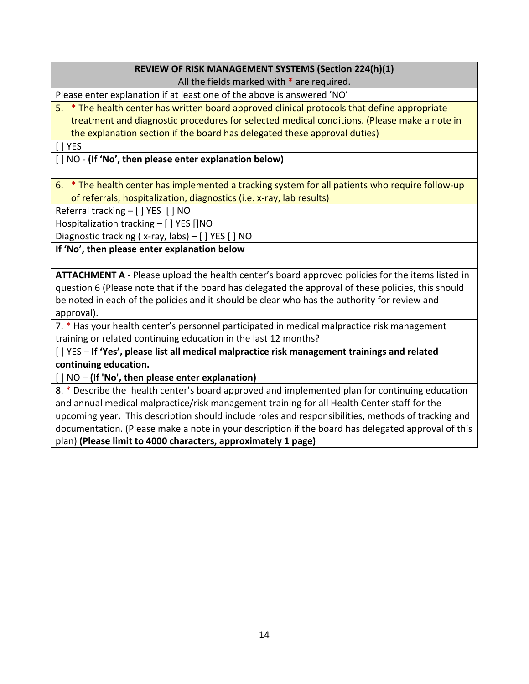## **REVIEW OF RISK MANAGEMENT SYSTEMS (Section 224(h)(1)**

All the fields marked with \* are required.

Please enter explanation if at least one of the above is answered 'NO'

5. \* The health center has written board approved clinical protocols that define appropriate treatment and diagnostic procedures for selected medical conditions. (Please make a note in the explanation section if the board has delegated these approval duties)

[ ] YES

[ ] NO - **(If 'No', then please enter explanation below)** 

6. \* The health center has implemented a tracking system for all patients who require follow-up of referrals, hospitalization, diagnostics (i.e. x-ray, lab results)

Referral tracking – [ ] YES [ ] NO

Hospitalization tracking – [ ] YES []NO

Diagnostic tracking ( x-ray, labs) – [ ] YES [ ] NO

**If 'No', then please enter explanation below**

**ATTACHMENT A** - Please upload the health center's board approved policies for the items listed in question 6 (Please note that if the board has delegated the approval of these policies, this should be noted in each of the policies and it should be clear who has the authority for review and approval).

7. \* Has your health center's personnel participated in medical malpractice risk management training or related continuing education in the last 12 months?

[ ] YES – **If 'Yes', please list all medical malpractice risk management trainings and related continuing education.**

[ ] NO – **(If 'No', then please enter explanation)**

8. \* Describe the health center's board approved and implemented plan for continuing education and annual medical malpractice/risk management training for all Health Center staff for the upcoming year**.** This description should include roles and responsibilities, methods of tracking and documentation. (Please make a note in your description if the board has delegated approval of this plan) **(Please limit to 4000 characters, approximately 1 page)**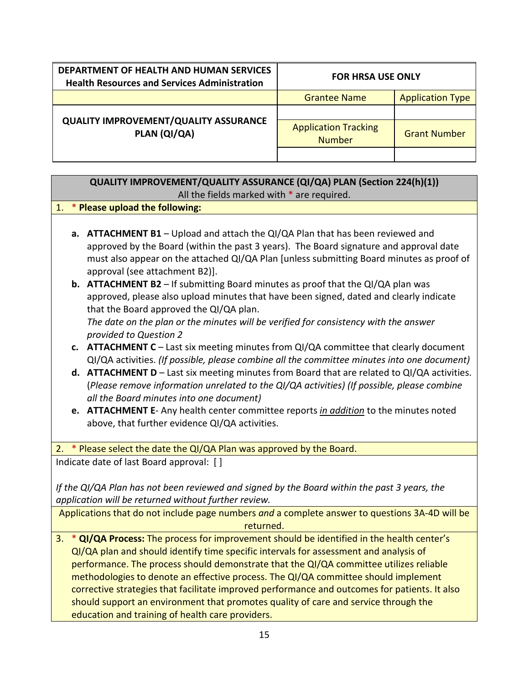| DEPARTMENT OF HEALTH AND HUMAN SERVICES<br><b>Health Resources and Services Administration</b> | <b>FOR HRSA USE ONLY</b>                     |                         |
|------------------------------------------------------------------------------------------------|----------------------------------------------|-------------------------|
|                                                                                                | <b>Grantee Name</b>                          | <b>Application Type</b> |
| <b>QUALITY IMPROVEMENT/QUALITY ASSURANCE</b><br>PLAN (QI/QA)                                   |                                              |                         |
|                                                                                                | <b>Application Tracking</b><br><b>Number</b> | <b>Grant Number</b>     |
|                                                                                                |                                              |                         |

## **QUALITY IMPROVEMENT/QUALITY ASSURANCE (QI/QA) PLAN (Section 224(h)(1))** All the fields marked with \* are required.

#### 1. \* **Please upload the following:**

- **a. ATTACHMENT B1** Upload and attach the QI/QA Plan that has been reviewed and approved by the Board (within the past 3 years). The Board signature and approval date must also appear on the attached QI/QA Plan [unless submitting Board minutes as proof of approval (see attachment B2)].
- **b. ATTACHMENT B2** If submitting Board minutes as proof that the QI/QA plan was approved, please also upload minutes that have been signed, dated and clearly indicate that the Board approved the QI/QA plan. *The date on the plan or the minutes will be verified for consistency with the answer provided to Question 2*
- **c. ATTACHMENT C** Last six meeting minutes from QI/QA committee that clearly document QI/QA activities. *(If possible, please combine all the committee minutes into one document)*
- **d. ATTACHMENT D** Last six meeting minutes from Board that are related to QI/QA activities. (*Please remove information unrelated to the QI/QA activities) (If possible, please combine all the Board minutes into one document)*
- **e. ATTACHMENT E** Any health center committee reports *in addition* to the minutes noted above, that further evidence QI/QA activities.

2. \* Please select the date the QI/QA Plan was approved by the Board. Indicate date of last Board approval: [ ]

*If the QI/QA Plan has not been reviewed and signed by the Board within the past 3 years, the application will be returned without further review.* 

Applications that do not include page numbers *and* a complete answer to questions 3A-4D will be returned.

3. \* **QI/QA Process:** The process for improvement should be identified in the health center's QI/QA plan and should identify time specific intervals for assessment and analysis of performance. The process should demonstrate that the QI/QA committee utilizes reliable methodologies to denote an effective process. The QI/QA committee should implement corrective strategies that facilitate improved performance and outcomes for patients. It also should support an environment that promotes quality of care and service through the education and training of health care providers.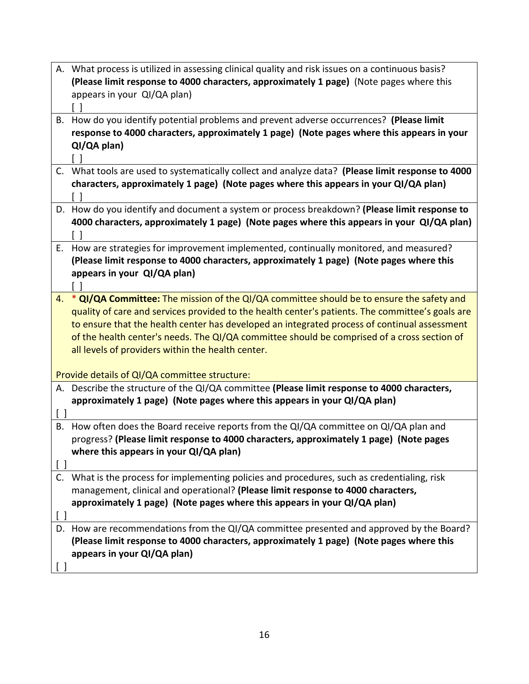|                                 | A. What process is utilized in assessing clinical quality and risk issues on a continuous basis?  |
|---------------------------------|---------------------------------------------------------------------------------------------------|
|                                 | (Please limit response to 4000 characters, approximately 1 page) (Note pages where this           |
|                                 | appears in your QI/QA plan)                                                                       |
|                                 |                                                                                                   |
| В.                              | How do you identify potential problems and prevent adverse occurrences? (Please limit             |
|                                 | response to 4000 characters, approximately 1 page) (Note pages where this appears in your         |
|                                 | QI/QA plan)                                                                                       |
|                                 | C. What tools are used to systematically collect and analyze data? (Please limit response to 4000 |
|                                 | characters, approximately 1 page) (Note pages where this appears in your QI/QA plan)              |
|                                 |                                                                                                   |
|                                 | D. How do you identify and document a system or process breakdown? (Please limit response to      |
|                                 | 4000 characters, approximately 1 page) (Note pages where this appears in your QI/QA plan)         |
|                                 |                                                                                                   |
| Е.                              | How are strategies for improvement implemented, continually monitored, and measured?              |
|                                 | (Please limit response to 4000 characters, approximately 1 page) (Note pages where this           |
|                                 | appears in your QI/QA plan)                                                                       |
|                                 |                                                                                                   |
| 4.                              | * QI/QA Committee: The mission of the QI/QA committee should be to ensure the safety and          |
|                                 | quality of care and services provided to the health center's patients. The committee's goals are  |
|                                 | to ensure that the health center has developed an integrated process of continual assessment      |
|                                 | of the health center's needs. The QI/QA committee should be comprised of a cross section of       |
|                                 | all levels of providers within the health center.                                                 |
|                                 |                                                                                                   |
|                                 | Provide details of QI/QA committee structure:                                                     |
|                                 | A. Describe the structure of the QI/QA committee (Please limit response to 4000 characters,       |
|                                 | approximately 1 page) (Note pages where this appears in your QI/QA plan)                          |
| $\lceil$ $\rceil$<br>В.         | How often does the Board receive reports from the QI/QA committee on QI/QA plan and               |
|                                 | progress? (Please limit response to 4000 characters, approximately 1 page) (Note pages            |
|                                 | where this appears in your QI/QA plan)                                                            |
|                                 |                                                                                                   |
|                                 | What is the process for implementing policies and procedures, such as credentialing, risk         |
|                                 | management, clinical and operational? (Please limit response to 4000 characters,                  |
|                                 | approximately 1 page) (Note pages where this appears in your QI/QA plan)                          |
| $\begin{bmatrix} \end{bmatrix}$ |                                                                                                   |
| D.                              | How are recommendations from the QI/QA committee presented and approved by the Board?             |
|                                 | (Please limit response to 4000 characters, approximately 1 page) (Note pages where this           |
|                                 | appears in your QI/QA plan)                                                                       |
|                                 |                                                                                                   |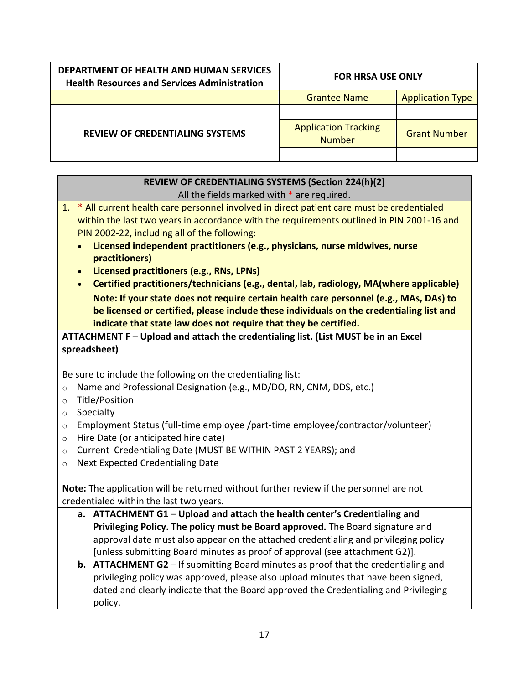| DEPARTMENT OF HEALTH AND HUMAN SERVICES<br><b>Health Resources and Services Administration</b> | <b>FOR HRSA USE ONLY</b>                     |                         |
|------------------------------------------------------------------------------------------------|----------------------------------------------|-------------------------|
|                                                                                                | <b>Grantee Name</b>                          | <b>Application Type</b> |
|                                                                                                |                                              |                         |
| <b>REVIEW OF CREDENTIALING SYSTEMS</b>                                                         | <b>Application Tracking</b><br><b>Number</b> | <b>Grant Number</b>     |
|                                                                                                |                                              |                         |

| REVIEW OF CREDENTIALING SYSTEMS (Section 224(h)(2)                                                   |  |  |
|------------------------------------------------------------------------------------------------------|--|--|
| All the fields marked with * are required.                                                           |  |  |
| * All current health care personnel involved in direct patient care must be credentialed<br>1.       |  |  |
| within the last two years in accordance with the requirements outlined in PIN 2001-16 and            |  |  |
| PIN 2002-22, including all of the following:                                                         |  |  |
| Licensed independent practitioners (e.g., physicians, nurse midwives, nurse<br>$\bullet$             |  |  |
| practitioners)                                                                                       |  |  |
| Licensed practitioners (e.g., RNs, LPNs)<br>$\bullet$                                                |  |  |
| Certified practitioners/technicians (e.g., dental, lab, radiology, MA(where applicable)<br>$\bullet$ |  |  |
| Note: If your state does not require certain health care personnel (e.g., MAs, DAs) to               |  |  |
| be licensed or certified, please include these individuals on the credentialing list and             |  |  |
| indicate that state law does not require that they be certified.                                     |  |  |
| ATTACHMENT F - Upload and attach the credentialing list. (List MUST be in an Excel                   |  |  |
| spreadsheet)                                                                                         |  |  |
|                                                                                                      |  |  |
| Be sure to include the following on the credentialing list:                                          |  |  |
| Name and Professional Designation (e.g., MD/DO, RN, CNM, DDS, etc.)<br>$\circ$                       |  |  |
| Title/Position<br>$\circ$                                                                            |  |  |
| Specialty<br>$\circ$                                                                                 |  |  |
| Employment Status (full-time employee /part-time employee/contractor/volunteer)<br>$\circ$           |  |  |
| Hire Date (or anticipated hire date)<br>$\circ$                                                      |  |  |
| Current Credentialing Date (MUST BE WITHIN PAST 2 YEARS); and<br>$\circ$                             |  |  |
| Next Expected Credentialing Date<br>$\circ$                                                          |  |  |
|                                                                                                      |  |  |
| Note: The application will be returned without further review if the personnel are not               |  |  |
| credentialed within the last two years.                                                              |  |  |
| a. ATTACHMENT G1 - Upload and attach the health center's Credentialing and                           |  |  |
| Privileging Policy. The policy must be Board approved. The Board signature and                       |  |  |
| approval date must also appear on the attached credentialing and privileging policy                  |  |  |
| [unless submitting Board minutes as proof of approval (see attachment G2)].                          |  |  |
| b. ATTACHMENT G2 - If submitting Board minutes as proof that the credentialing and                   |  |  |
| privileging policy was approved, please also upload minutes that have been signed,                   |  |  |
| dated and clearly indicate that the Board approved the Credentialing and Privileging                 |  |  |

policy.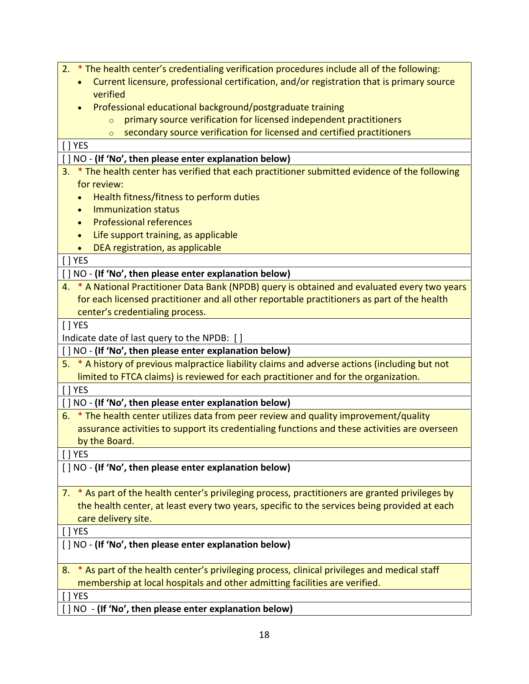| 2. * The health center's credentialing verification procedures include all of the following:           |
|--------------------------------------------------------------------------------------------------------|
| Current licensure, professional certification, and/or registration that is primary source<br>$\bullet$ |
| verified                                                                                               |
| Professional educational background/postgraduate training                                              |
| primary source verification for licensed independent practitioners<br>$\circ$                          |
| secondary source verification for licensed and certified practitioners<br>$\circ$                      |
| $[]$ YES                                                                                               |
| [ ] NO - (If 'No', then please enter explanation below)                                                |
| * The health center has verified that each practitioner submitted evidence of the following<br>3.      |
| for review:                                                                                            |
| Health fitness/fitness to perform duties                                                               |
| Immunization status<br>$\bullet$                                                                       |
| <b>Professional references</b>                                                                         |
| Life support training, as applicable<br>$\bullet$                                                      |
| DEA registration, as applicable<br>$\bullet$                                                           |
| [ ] YES                                                                                                |
| [] NO - (If 'No', then please enter explanation below)                                                 |
| 4. * A National Practitioner Data Bank (NPDB) query is obtained and evaluated every two years          |
| for each licensed practitioner and all other reportable practitioners as part of the health            |
| center's credentialing process.                                                                        |
| $\lceil$   YES                                                                                         |
| Indicate date of last query to the NPDB: []                                                            |
| [] NO - (If 'No', then please enter explanation below)                                                 |
| 5. * A history of previous malpractice liability claims and adverse actions (including but not         |
| limited to FTCA claims) is reviewed for each practitioner and for the organization.                    |
| $\lceil$   YES                                                                                         |
| [ ] NO - (If 'No', then please enter explanation below)                                                |
| * The health center utilizes data from peer review and quality improvement/quality<br>6.               |
| assurance activities to support its credentialing functions and these activities are overseen          |
| by the Board.                                                                                          |
| <b>YES</b>                                                                                             |
| [] NO - (If 'No', then please enter explanation below)                                                 |
|                                                                                                        |
| * As part of the health center's privileging process, practitioners are granted privileges by<br>7.    |
| the health center, at least every two years, specific to the services being provided at each           |
| care delivery site.                                                                                    |
| [ ] YES                                                                                                |
| [] NO - (If 'No', then please enter explanation below)                                                 |
|                                                                                                        |
| * As part of the health center's privileging process, clinical privileges and medical staff<br>8.      |
| membership at local hospitals and other admitting facilities are verified.                             |
| YES                                                                                                    |
| NO - (If 'No', then please enter explanation below)                                                    |
|                                                                                                        |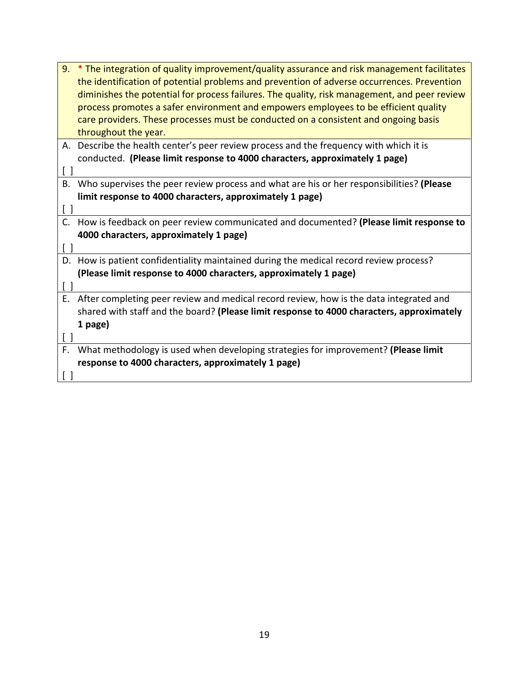| 9.                              | * The integration of quality improvement/quality assurance and risk management facilitates<br>the identification of potential problems and prevention of adverse occurrences. Prevention<br>diminishes the potential for process failures. The quality, risk management, and peer review<br>process promotes a safer environment and empowers employees to be efficient quality<br>care providers. These processes must be conducted on a consistent and ongoing basis<br>throughout the year. |
|---------------------------------|------------------------------------------------------------------------------------------------------------------------------------------------------------------------------------------------------------------------------------------------------------------------------------------------------------------------------------------------------------------------------------------------------------------------------------------------------------------------------------------------|
|                                 | A. Describe the health center's peer review process and the frequency with which it is                                                                                                                                                                                                                                                                                                                                                                                                         |
|                                 | conducted. (Please limit response to 4000 characters, approximately 1 page)                                                                                                                                                                                                                                                                                                                                                                                                                    |
|                                 |                                                                                                                                                                                                                                                                                                                                                                                                                                                                                                |
| Β.                              | Who supervises the peer review process and what are his or her responsibilities? (Please                                                                                                                                                                                                                                                                                                                                                                                                       |
|                                 | limit response to 4000 characters, approximately 1 page)                                                                                                                                                                                                                                                                                                                                                                                                                                       |
|                                 |                                                                                                                                                                                                                                                                                                                                                                                                                                                                                                |
| C.                              | How is feedback on peer review communicated and documented? (Please limit response to                                                                                                                                                                                                                                                                                                                                                                                                          |
|                                 | 4000 characters, approximately 1 page)                                                                                                                                                                                                                                                                                                                                                                                                                                                         |
|                                 |                                                                                                                                                                                                                                                                                                                                                                                                                                                                                                |
|                                 | D. How is patient confidentiality maintained during the medical record review process?                                                                                                                                                                                                                                                                                                                                                                                                         |
|                                 | (Please limit response to 4000 characters, approximately 1 page)                                                                                                                                                                                                                                                                                                                                                                                                                               |
| $\begin{bmatrix} \end{bmatrix}$ |                                                                                                                                                                                                                                                                                                                                                                                                                                                                                                |
| Ε.                              | After completing peer review and medical record review, how is the data integrated and                                                                                                                                                                                                                                                                                                                                                                                                         |
|                                 | shared with staff and the board? (Please limit response to 4000 characters, approximately                                                                                                                                                                                                                                                                                                                                                                                                      |
|                                 | 1 page)                                                                                                                                                                                                                                                                                                                                                                                                                                                                                        |
| ιI                              |                                                                                                                                                                                                                                                                                                                                                                                                                                                                                                |
| F.                              | What methodology is used when developing strategies for improvement? (Please limit                                                                                                                                                                                                                                                                                                                                                                                                             |
|                                 | response to 4000 characters, approximately 1 page)                                                                                                                                                                                                                                                                                                                                                                                                                                             |
| $\Box$                          |                                                                                                                                                                                                                                                                                                                                                                                                                                                                                                |
|                                 |                                                                                                                                                                                                                                                                                                                                                                                                                                                                                                |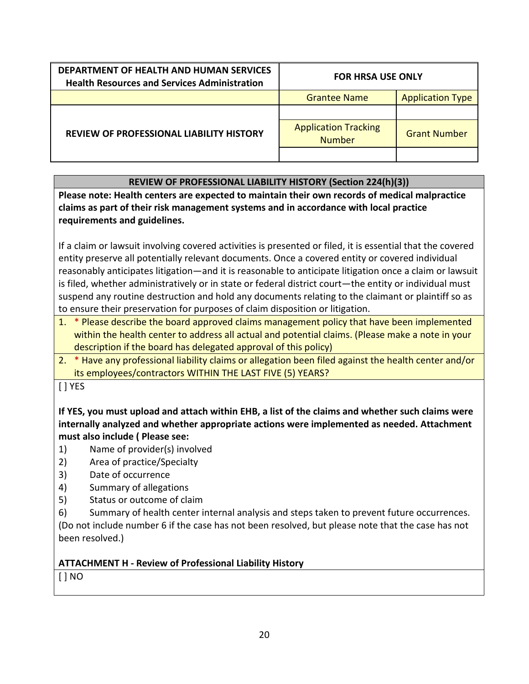| DEPARTMENT OF HEALTH AND HUMAN SERVICES<br><b>Health Resources and Services Administration</b> | <b>FOR HRSA USE ONLY</b>                     |                         |
|------------------------------------------------------------------------------------------------|----------------------------------------------|-------------------------|
|                                                                                                | <b>Grantee Name</b>                          | <b>Application Type</b> |
| <b>REVIEW OF PROFESSIONAL LIABILITY HISTORY</b>                                                |                                              |                         |
|                                                                                                | <b>Application Tracking</b><br><b>Number</b> | <b>Grant Number</b>     |
|                                                                                                |                                              |                         |

**REVIEW OF PROFESSIONAL LIABILITY HISTORY (Section 224(h)(3))**

**Please note: Health centers are expected to maintain their own records of medical malpractice claims as part of their risk management systems and in accordance with local practice requirements and guidelines.**

If a claim or lawsuit involving covered activities is presented or filed, it is essential that the covered entity preserve all potentially relevant documents. Once a covered entity or covered individual reasonably anticipates litigation—and it is reasonable to anticipate litigation once a claim or lawsuit is filed, whether administratively or in state or federal district court—the entity or individual must suspend any routine destruction and hold any documents relating to the claimant or plaintiff so as to ensure their preservation for purposes of claim disposition or litigation.

- 1. \* Please describe the board approved claims management policy that have been implemented within the health center to address all actual and potential claims. (Please make a note in your description if the board has delegated approval of this policy)
- 2. \* Have any professional liability claims or allegation been filed against the health center and/or its employees/contractors WITHIN THE LAST FIVE (5) YEARS?

[ ] YES

**If YES, you must upload and attach within EHB, a list of the claims and whether such claims were internally analyzed and whether appropriate actions were implemented as needed. Attachment must also include ( Please see:** 

- 1) Name of provider(s) involved
- 2) Area of practice/Specialty
- 3) Date of occurrence
- 4) Summary of allegations
- 5) Status or outcome of claim

6) Summary of health center internal analysis and steps taken to prevent future occurrences. (Do not include number 6 if the case has not been resolved, but please note that the case has not been resolved.)

#### **ATTACHMENT H - Review of Professional Liability History**

[ ] NO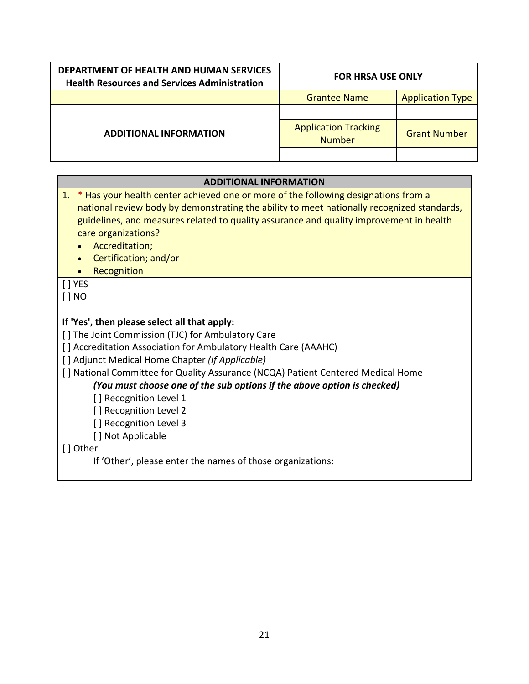| DEPARTMENT OF HEALTH AND HUMAN SERVICES<br><b>Health Resources and Services Administration</b> | <b>FOR HRSA USE ONLY</b>                     |                         |
|------------------------------------------------------------------------------------------------|----------------------------------------------|-------------------------|
|                                                                                                | <b>Grantee Name</b>                          | <b>Application Type</b> |
| <b>ADDITIONAL INFORMATION</b>                                                                  |                                              |                         |
|                                                                                                | <b>Application Tracking</b><br><b>Number</b> | <b>Grant Number</b>     |
|                                                                                                |                                              |                         |

## **ADDITIONAL INFORMATION** 1. \* Has your health center achieved one or more of the following designations from a national review body by demonstrating the ability to meet nationally recognized standards, guidelines, and measures related to quality assurance and quality improvement in health care organizations? • Accreditation; • Certification; and/or • Recognition [ ] YES [ ] NO **If 'Yes', then please select all that apply:**  [] The Joint Commission (TJC) for Ambulatory Care [ ] Accreditation Association for Ambulatory Health Care (AAAHC) [ ] Adjunct Medical Home Chapter *(If Applicable)* [ ] National Committee for Quality Assurance (NCQA) Patient Centered Medical Home *(You must choose one of the sub options if the above option is checked)* [ ] Recognition Level 1 [ ] Recognition Level 2 [] Recognition Level 3 [ ] Not Applicable [ ] Other If 'Other', please enter the names of those organizations: